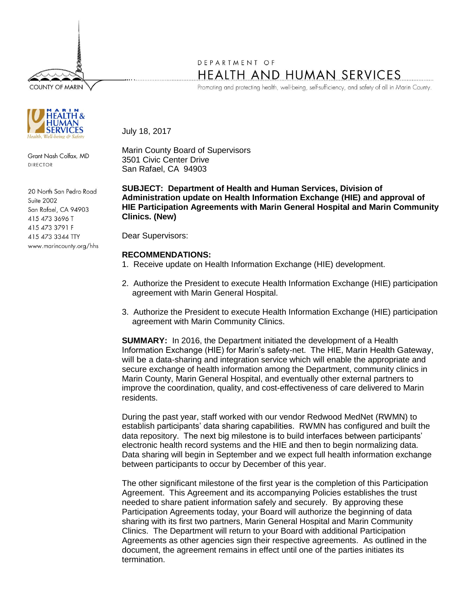**COUNTY OF MARIN** 



Grant Nash Colfax, MD DIRECTOR

20 North San Pedro Road Suite 2002 San Rafael, CA 94903 415 473 3696 T 415 473 3791 F 415 473 3344 TTY www.marincounty.org/hhs

## DEPARTMENT OF HEALTH AND HUMAN SERVICES

Promoting and protecting health, well-being, self-sufficiency, and safety of all in Marin County.

July 18, 2017

Marin County Board of Supervisors 3501 Civic Center Drive San Rafael, CA 94903

**SUBJECT: Department of Health and Human Services, Division of Administration update on Health Information Exchange (HIE) and approval of HIE Participation Agreements with Marin General Hospital and Marin Community Clinics. (New)**

Dear Supervisors:

## **RECOMMENDATIONS:**

- 1. Receive update on Health Information Exchange (HIE) development.
- 2.Authorize the President to execute Health Information Exchange (HIE) participation agreement with Marin General Hospital.
- 3. Authorize the President to execute Health Information Exchange (HIE) participation agreement with Marin Community Clinics.

**SUMMARY:** In 2016, the Department initiated the development of a Health Information Exchange (HIE) for Marin's safety-net. The HIE, Marin Health Gateway, will be a data-sharing and integration service which will enable the appropriate and secure exchange of health information among the Department, community clinics in Marin County, Marin General Hospital, and eventually other external partners to improve the coordination, quality, and cost-effectiveness of care delivered to Marin residents.

During the past year, staff worked with our vendor Redwood MedNet (RWMN) to establish participants' data sharing capabilities. RWMN has configured and built the data repository. The next big milestone is to build interfaces between participants' electronic health record systems and the HIE and then to begin normalizing data. Data sharing will begin in September and we expect full health information exchange between participants to occur by December of this year.

The other significant milestone of the first year is the completion of this Participation Agreement. This Agreement and its accompanying Policies establishes the trust needed to share patient information safely and securely. By approving these Participation Agreements today, your Board will authorize the beginning of data sharing with its first two partners, Marin General Hospital and Marin Community Clinics. The Department will return to your Board with additional Participation Agreements as other agencies sign their respective agreements. As outlined in the document, the agreement remains in effect until one of the parties initiates its termination.